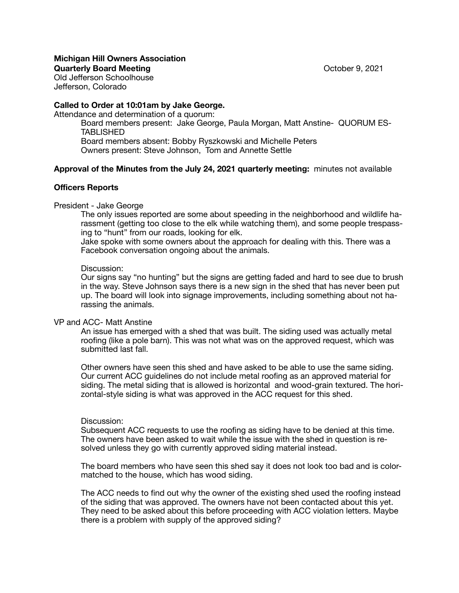### **Michigan Hill Owners Association Quarterly Board Meeting** October 9, 2021

Old Jefferson Schoolhouse Jefferson, Colorado

## **Called to Order at 10:01am by Jake George.**

Attendance and determination of a quorum:

Board members present: Jake George, Paula Morgan, Matt Anstine- QUORUM ES-**TABLISHED** Board members absent: Bobby Ryszkowski and Michelle Peters

Owners present: Steve Johnson, Tom and Annette Settle

# **Approval of the Minutes from the July 24, 2021 quarterly meeting:** minutes not available

## **Officers Reports**

### President - Jake George

The only issues reported are some about speeding in the neighborhood and wildlife harassment (getting too close to the elk while watching them), and some people trespassing to "hunt" from our roads, looking for elk.

Jake spoke with some owners about the approach for dealing with this. There was a Facebook conversation ongoing about the animals.

#### Discussion:

Our signs say "no hunting" but the signs are getting faded and hard to see due to brush in the way. Steve Johnson says there is a new sign in the shed that has never been put up. The board will look into signage improvements, including something about not harassing the animals.

## VP and ACC- Matt Anstine

An issue has emerged with a shed that was built. The siding used was actually metal roofing (like a pole barn). This was not what was on the approved request, which was submitted last fall.

Other owners have seen this shed and have asked to be able to use the same siding. Our current ACC guidelines do not include metal roofing as an approved material for siding. The metal siding that is allowed is horizontal and wood-grain textured. The horizontal-style siding is what was approved in the ACC request for this shed.

## Discussion:

Subsequent ACC requests to use the roofing as siding have to be denied at this time. The owners have been asked to wait while the issue with the shed in question is resolved unless they go with currently approved siding material instead.

The board members who have seen this shed say it does not look too bad and is colormatched to the house, which has wood siding.

The ACC needs to find out why the owner of the existing shed used the roofing instead of the siding that was approved. The owners have not been contacted about this yet. They need to be asked about this before proceeding with ACC violation letters. Maybe there is a problem with supply of the approved siding?